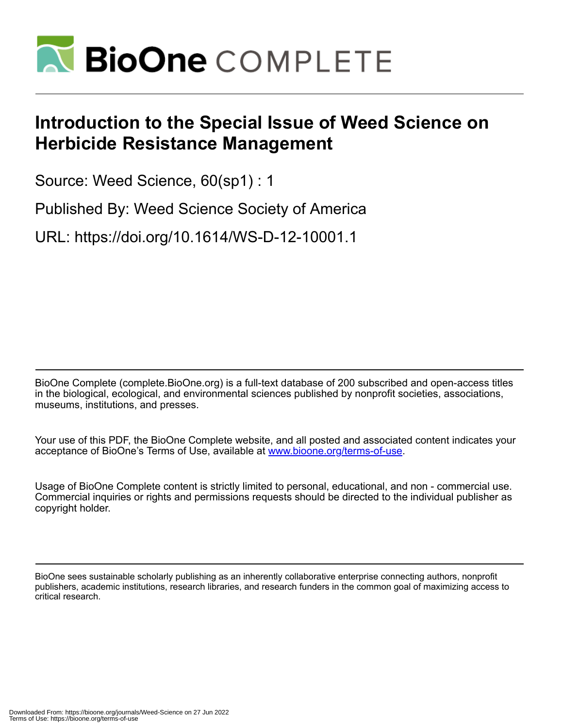

## **Introduction to the Special Issue of Weed Science on Herbicide Resistance Management**

Source: Weed Science, 60(sp1) : 1

Published By: Weed Science Society of America

URL: https://doi.org/10.1614/WS-D-12-10001.1

BioOne Complete (complete.BioOne.org) is a full-text database of 200 subscribed and open-access titles in the biological, ecological, and environmental sciences published by nonprofit societies, associations, museums, institutions, and presses.

Your use of this PDF, the BioOne Complete website, and all posted and associated content indicates your acceptance of BioOne's Terms of Use, available at www.bioone.org/terms-of-use.

Usage of BioOne Complete content is strictly limited to personal, educational, and non - commercial use. Commercial inquiries or rights and permissions requests should be directed to the individual publisher as copyright holder.

BioOne sees sustainable scholarly publishing as an inherently collaborative enterprise connecting authors, nonprofit publishers, academic institutions, research libraries, and research funders in the common goal of maximizing access to critical research.